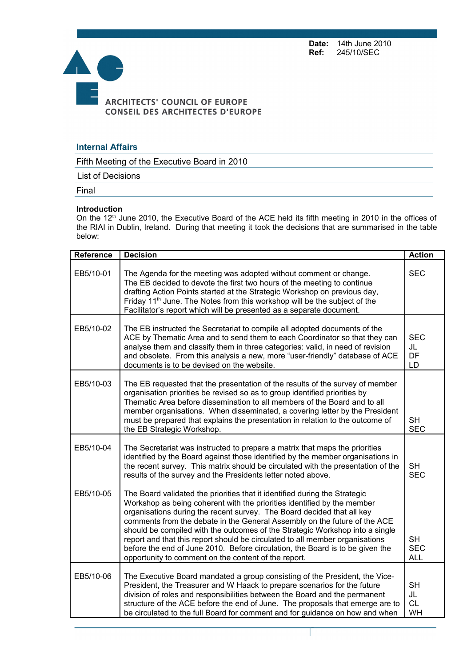**Date:** 14th June 2010<br>**Ref:** 245/10/SEC **Ref:** 245/10/SEC



## **Internal Affairs**

Fifth Meeting of the Executive Board in 2010

List of Decisions

Final

## **Introduction**

On the 12<sup>th</sup> June 2010, the Executive Board of the ACE held its fifth meeting in 2010 in the offices of the RIAI in Dublin, Ireland. During that meeting it took the decisions that are summarised in the table below:

| <b>Reference</b> | <b>Decision</b>                                                                                                                                                                                                                                                                                                                                                                                                                                                                                                                                                                                                       | <b>Action</b>                         |
|------------------|-----------------------------------------------------------------------------------------------------------------------------------------------------------------------------------------------------------------------------------------------------------------------------------------------------------------------------------------------------------------------------------------------------------------------------------------------------------------------------------------------------------------------------------------------------------------------------------------------------------------------|---------------------------------------|
| EB5/10-01        | The Agenda for the meeting was adopted without comment or change.<br>The EB decided to devote the first two hours of the meeting to continue<br>drafting Action Points started at the Strategic Workshop on previous day,<br>Friday 11 <sup>th</sup> June. The Notes from this workshop will be the subject of the<br>Facilitator's report which will be presented as a separate document.                                                                                                                                                                                                                            | <b>SEC</b>                            |
| EB5/10-02        | The EB instructed the Secretariat to compile all adopted documents of the<br>ACE by Thematic Area and to send them to each Coordinator so that they can<br>analyse them and classify them in three categories: valid, in need of revision<br>and obsolete. From this analysis a new, more "user-friendly" database of ACE<br>documents is to be devised on the website.                                                                                                                                                                                                                                               | <b>SEC</b><br>JL<br>DF<br>LD          |
| EB5/10-03        | The EB requested that the presentation of the results of the survey of member<br>organisation priorities be revised so as to group identified priorities by<br>Thematic Area before dissemination to all members of the Board and to all<br>member organisations. When disseminated, a covering letter by the President<br>must be prepared that explains the presentation in relation to the outcome of<br>the EB Strategic Workshop.                                                                                                                                                                                | <b>SH</b><br><b>SEC</b>               |
| EB5/10-04        | The Secretariat was instructed to prepare a matrix that maps the priorities<br>identified by the Board against those identified by the member organisations in<br>the recent survey. This matrix should be circulated with the presentation of the<br>results of the survey and the Presidents letter noted above.                                                                                                                                                                                                                                                                                                    | <b>SH</b><br><b>SEC</b>               |
| EB5/10-05        | The Board validated the priorities that it identified during the Strategic<br>Workshop as being coherent with the priorities identified by the member<br>organisations during the recent survey. The Board decided that all key<br>comments from the debate in the General Assembly on the future of the ACE<br>should be compiled with the outcomes of the Strategic Workshop into a single<br>report and that this report should be circulated to all member organisations<br>before the end of June 2010. Before circulation, the Board is to be given the<br>opportunity to comment on the content of the report. | <b>SH</b><br><b>SEC</b><br><b>ALL</b> |
| EB5/10-06        | The Executive Board mandated a group consisting of the President, the Vice-<br>President, the Treasurer and W Haack to prepare scenarios for the future<br>division of roles and responsibilities between the Board and the permanent<br>structure of the ACE before the end of June. The proposals that emerge are to<br>be circulated to the full Board for comment and for guidance on how and when                                                                                                                                                                                                                | <b>SH</b><br>JL<br><b>CL</b><br>WH    |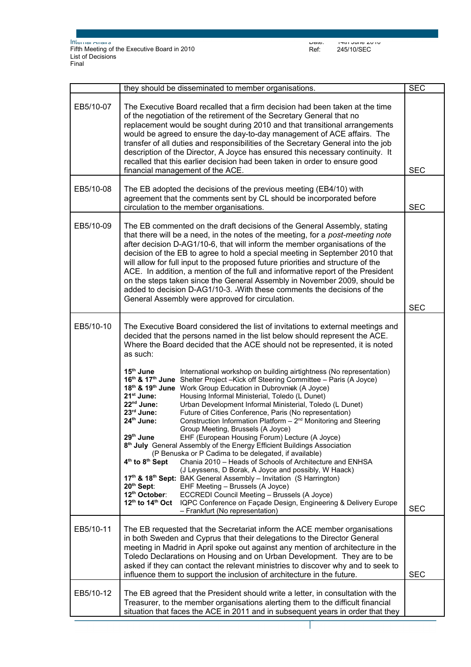Internal Affairs Fifth Meeting of the Executive Board in 2010 List of Decisions Final

|           | they should be disseminated to member organisations.                                                                                                                                                                                                                                                                                                                                                                                                                                                                                                                                                                                                                                                                                                                                                                                                                                                                                                                                                                                                                                                                                                                                                                                                                                                                                                                                          | <b>SEC</b> |
|-----------|-----------------------------------------------------------------------------------------------------------------------------------------------------------------------------------------------------------------------------------------------------------------------------------------------------------------------------------------------------------------------------------------------------------------------------------------------------------------------------------------------------------------------------------------------------------------------------------------------------------------------------------------------------------------------------------------------------------------------------------------------------------------------------------------------------------------------------------------------------------------------------------------------------------------------------------------------------------------------------------------------------------------------------------------------------------------------------------------------------------------------------------------------------------------------------------------------------------------------------------------------------------------------------------------------------------------------------------------------------------------------------------------------|------------|
| EB5/10-07 | The Executive Board recalled that a firm decision had been taken at the time<br>of the negotiation of the retirement of the Secretary General that no<br>replacement would be sought during 2010 and that transitional arrangements<br>would be agreed to ensure the day-to-day management of ACE affairs. The<br>transfer of all duties and responsibilities of the Secretary General into the job<br>description of the Director, A Joyce has ensured this necessary continuity. It<br>recalled that this earlier decision had been taken in order to ensure good<br>financial management of the ACE.                                                                                                                                                                                                                                                                                                                                                                                                                                                                                                                                                                                                                                                                                                                                                                                       | <b>SEC</b> |
| EB5/10-08 | The EB adopted the decisions of the previous meeting (EB4/10) with<br>agreement that the comments sent by CL should be incorporated before<br>circulation to the member organisations.                                                                                                                                                                                                                                                                                                                                                                                                                                                                                                                                                                                                                                                                                                                                                                                                                                                                                                                                                                                                                                                                                                                                                                                                        | <b>SEC</b> |
| EB5/10-09 | The EB commented on the draft decisions of the General Assembly, stating<br>that there will be a need, in the notes of the meeting, for a post-meeting note<br>after decision D-AG1/10-6, that will inform the member organisations of the<br>decision of the EB to agree to hold a special meeting in September 2010 that<br>will allow for full input to the proposed future priorities and structure of the<br>ACE. In addition, a mention of the full and informative report of the President<br>on the steps taken since the General Assembly in November 2009, should be<br>added to decision D-AG1/10-3. -With these comments the decisions of the<br>General Assembly were approved for circulation.                                                                                                                                                                                                                                                                                                                                                                                                                                                                                                                                                                                                                                                                                  | <b>SEC</b> |
| EB5/10-10 | The Executive Board considered the list of invitations to external meetings and<br>decided that the persons named in the list below should represent the ACE.<br>Where the Board decided that the ACE should not be represented, it is noted<br>as such:                                                                                                                                                                                                                                                                                                                                                                                                                                                                                                                                                                                                                                                                                                                                                                                                                                                                                                                                                                                                                                                                                                                                      |            |
|           | 15 <sup>th</sup> June<br>International workshop on building airtightness (No representation)<br>16 <sup>th</sup> & 17 <sup>th</sup> June Shelter Project -Kick off Steering Committee - Paris (A Joyce)<br>18 <sup>th</sup> & 19 <sup>th</sup> June Work Group Education in Dubrovniek (A Joyce)<br>21 <sup>st</sup> June:<br>Housing Informal Ministerial, Toledo (L Dunet)<br>22 <sup>nd</sup> June:<br>Urban Development Informal Ministerial, Toledo (L Dunet)<br>23rd June:<br>Future of Cities Conference, Paris (No representation)<br>24th June:<br>Construction Information Platform - 2 <sup>nd</sup> Monitoring and Steering<br>Group Meeting, Brussels (A Joyce)<br>29 <sup>th</sup> June<br>EHF (European Housing Forum) Lecture (A Joyce)<br>8 <sup>th</sup> July General Assembly of the Energy Efficient Buildings Association<br>(P Benuska or P Cadima to be delegated, if available)<br>4 <sup>th</sup> to 8 <sup>th</sup> Sept<br>Chania 2010 - Heads of Schools of Architecture and ENHSA<br>(J Leyssens, D Borak, A Joyce and possibly, W Haack)<br>17th & 18th Sept: BAK General Assembly - Invitation (S Harrington)<br>20th Sept:<br>EHF Meeting - Brussels (A Joyce)<br>12th October:<br>ECCREDI Council Meeting - Brussels (A Joyce)<br>$12th$ to $14th$ Oct<br>IQPC Conference on Façade Design, Engineering & Delivery Europe<br>- Frankfurt (No representation) | <b>SEC</b> |
| EB5/10-11 | The EB requested that the Secretariat inform the ACE member organisations<br>in both Sweden and Cyprus that their delegations to the Director General<br>meeting in Madrid in April spoke out against any mention of architecture in the<br>Toledo Declarations on Housing and on Urban Development. They are to be<br>asked if they can contact the relevant ministries to discover why and to seek to<br>influence them to support the inclusion of architecture in the future.                                                                                                                                                                                                                                                                                                                                                                                                                                                                                                                                                                                                                                                                                                                                                                                                                                                                                                             | <b>SEC</b> |
| EB5/10-12 | The EB agreed that the President should write a letter, in consultation with the<br>Treasurer, to the member organisations alerting them to the difficult financial<br>situation that faces the ACE in 2011 and in subsequent years in order that they                                                                                                                                                                                                                                                                                                                                                                                                                                                                                                                                                                                                                                                                                                                                                                                                                                                                                                                                                                                                                                                                                                                                        |            |

Page 2 sur 4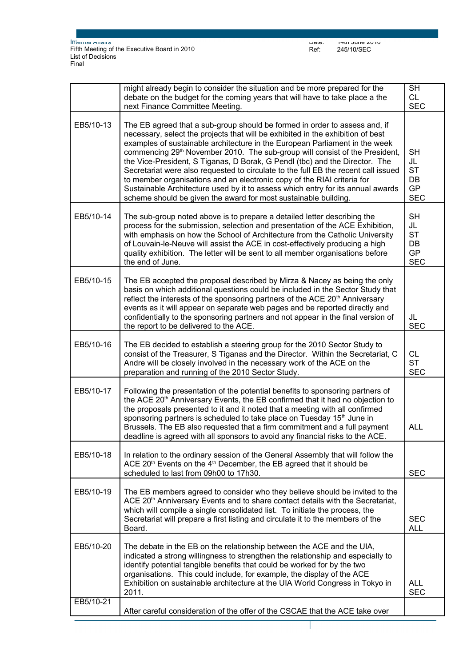Internal Affairs Fifth Meeting of the Executive Board in 2010 List of Decisions Final

|           | might already begin to consider the situation and be more prepared for the<br>debate on the budget for the coming years that will have to take place a the<br>next Finance Committee Meeting.                                                                                                                                                                                                                                                                                                                                                                                                                                                                                                                                                 | <b>SH</b><br>CL<br><b>SEC</b>                                 |
|-----------|-----------------------------------------------------------------------------------------------------------------------------------------------------------------------------------------------------------------------------------------------------------------------------------------------------------------------------------------------------------------------------------------------------------------------------------------------------------------------------------------------------------------------------------------------------------------------------------------------------------------------------------------------------------------------------------------------------------------------------------------------|---------------------------------------------------------------|
| EB5/10-13 | The EB agreed that a sub-group should be formed in order to assess and, if<br>necessary, select the projects that will be exhibited in the exhibition of best<br>examples of sustainable architecture in the European Parliament in the week<br>commencing 29 <sup>th</sup> November 2010. The sub-group will consist of the President,<br>the Vice-President, S Tiganas, D Borak, G Pendl (tbc) and the Director. The<br>Secretariat were also requested to circulate to the full EB the recent call issued<br>to member organisations and an electronic copy of the RIAI criteria for<br>Sustainable Architecture used by it to assess which entry for its annual awards<br>scheme should be given the award for most sustainable building. | <b>SH</b><br>JL<br><b>ST</b><br>DB<br><b>GP</b><br><b>SEC</b> |
| EB5/10-14 | The sub-group noted above is to prepare a detailed letter describing the<br>process for the submission, selection and presentation of the ACE Exhibition,<br>with emphasis on how the School of Architecture from the Catholic University<br>of Louvain-le-Neuve will assist the ACE in cost-effectively producing a high<br>quality exhibition. The letter will be sent to all member organisations before<br>the end of June.                                                                                                                                                                                                                                                                                                               | <b>SH</b><br>JL<br><b>ST</b><br>DB<br><b>GP</b><br><b>SEC</b> |
| EB5/10-15 | The EB accepted the proposal described by Mirza & Nacey as being the only<br>basis on which additional questions could be included in the Sector Study that<br>reflect the interests of the sponsoring partners of the ACE 20 <sup>th</sup> Anniversary<br>events as it will appear on separate web pages and be reported directly and<br>confidentially to the sponsoring partners and not appear in the final version of<br>the report to be delivered to the ACE.                                                                                                                                                                                                                                                                          | JL<br><b>SEC</b>                                              |
| EB5/10-16 | The EB decided to establish a steering group for the 2010 Sector Study to<br>consist of the Treasurer, S Tiganas and the Director. Within the Secretariat, C<br>Andre will be closely involved in the necessary work of the ACE on the<br>preparation and running of the 2010 Sector Study.                                                                                                                                                                                                                                                                                                                                                                                                                                                   | CL<br><b>ST</b><br><b>SEC</b>                                 |
| EB5/10-17 | Following the presentation of the potential benefits to sponsoring partners of<br>the ACE 20 <sup>th</sup> Anniversary Events, the EB confirmed that it had no objection to<br>the proposals presented to it and it noted that a meeting with all confirmed<br>sponsoring partners is scheduled to take place on Tuesday 15 <sup>th</sup> June in<br>Brussels. The EB also requested that a firm commitment and a full payment<br>deadline is agreed with all sponsors to avoid any financial risks to the ACE.                                                                                                                                                                                                                               | <b>ALL</b>                                                    |
| EB5/10-18 | In relation to the ordinary session of the General Assembly that will follow the<br>ACE 20 <sup>th</sup> Events on the 4 <sup>th</sup> December, the EB agreed that it should be<br>scheduled to last from 09h00 to 17h30.                                                                                                                                                                                                                                                                                                                                                                                                                                                                                                                    | <b>SEC</b>                                                    |
| EB5/10-19 | The EB members agreed to consider who they believe should be invited to the<br>ACE 20 <sup>th</sup> Anniversary Events and to share contact details with the Secretariat,<br>which will compile a single consolidated list. To initiate the process, the<br>Secretariat will prepare a first listing and circulate it to the members of the<br>Board.                                                                                                                                                                                                                                                                                                                                                                                         | <b>SEC</b><br><b>ALL</b>                                      |
| EB5/10-20 | The debate in the EB on the relationship between the ACE and the UIA,<br>indicated a strong willingness to strengthen the relationship and especially to<br>identify potential tangible benefits that could be worked for by the two<br>organisations. This could include, for example, the display of the ACE<br>Exhibition on sustainable architecture at the UIA World Congress in Tokyo in<br>2011.                                                                                                                                                                                                                                                                                                                                       | <b>ALL</b><br><b>SEC</b>                                      |
| EB5/10-21 | After careful consideration of the offer of the CSCAE that the ACE take over                                                                                                                                                                                                                                                                                                                                                                                                                                                                                                                                                                                                                                                                  |                                                               |

Page 3 sur 4